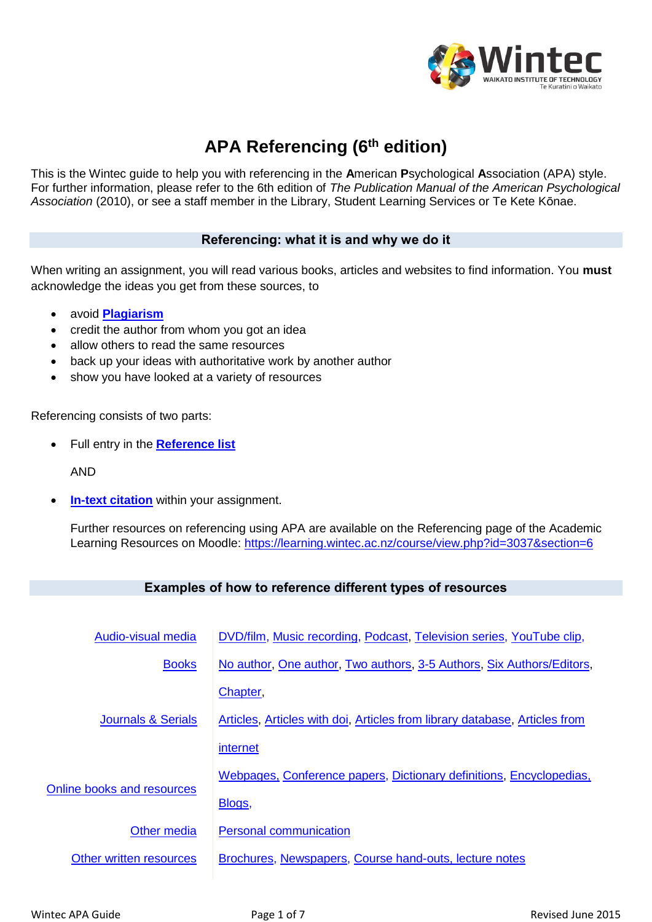

# **APA Referencing (6th edition)**

This is the Wintec guide to help you with referencing in the **A**merican **P**sychological **A**ssociation (APA) style. For further information, please refer to the 6th edition of *The Publication Manual of the American Psychological Association* (2010), or see a staff member in the Library, Student Learning Services or Te Kete Kōnae.

# **Referencing: what it is and why we do it**

When writing an assignment, you will read various books, articles and websites to find information. You **must** acknowledge the ideas you get from these sources, to

- avoid **[Plagiarism](#page-6-0)**
- credit the author from whom you got an idea
- allow others to read the same resources
- back up your ideas with authoritative work by another author
- show you have looked at a variety of resources

Referencing consists of two parts:

Full entry in the **[Reference list](#page-5-0)**

AND

**In-text [citation](#page-5-1)** within your assignment.

Further resources on referencing using APA are available on the Referencing page of the Academic Learning Resources on Moodle: [https://learning.wintec.ac.nz/course/view.php?id=3037&section=6](https://learning.wintec.ac.nz/course/view.php?id=3037§ion=6)

# **Examples of how to reference different types of resources**

| Audio-visual media                | DVD/film, Music recording, Podcast, Television series, YouTube clip,       |
|-----------------------------------|----------------------------------------------------------------------------|
| <b>Books</b>                      | No author, One author, Two authors, 3-5 Authors, Six Authors/Editors,      |
| <b>Journals &amp; Serials</b>     | Chapter,                                                                   |
|                                   | Articles, Articles with doi, Articles from library database, Articles from |
|                                   | internet                                                                   |
| <b>Online books and resources</b> | Webpages, Conference papers, Dictionary definitions, Encyclopedias,        |
|                                   | Blogs,                                                                     |
| Other media                       | <b>Personal communication</b>                                              |
| Other written resources           | Brochures, Newspapers, Course hand-outs, lecture notes                     |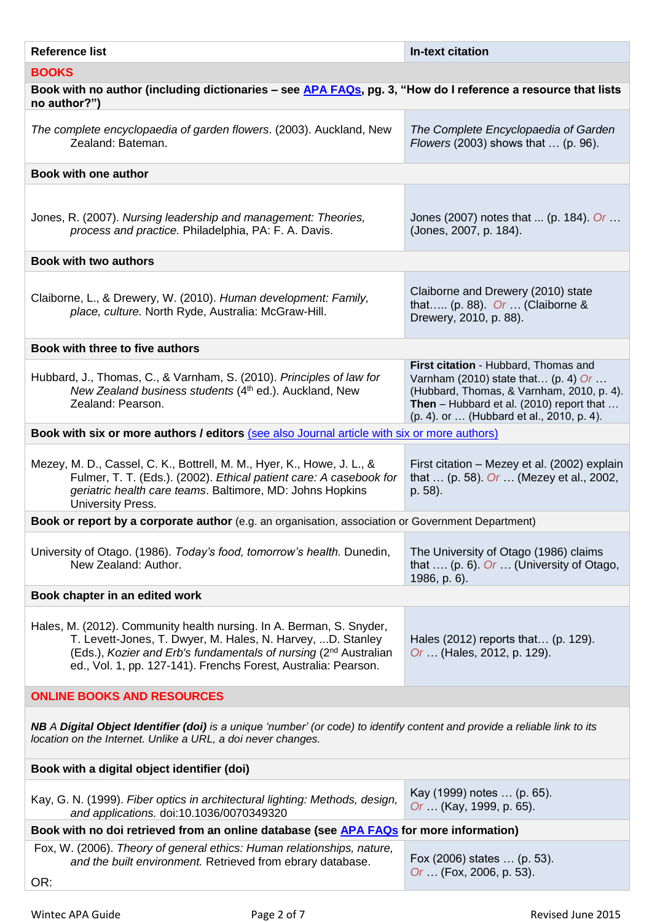<span id="page-1-3"></span><span id="page-1-2"></span><span id="page-1-1"></span><span id="page-1-0"></span>

| <b>Reference list</b>                                                                                                                                                                                                                                                                | <b>In-text citation</b>                                                                                                                                                                                                          |  |  |
|--------------------------------------------------------------------------------------------------------------------------------------------------------------------------------------------------------------------------------------------------------------------------------------|----------------------------------------------------------------------------------------------------------------------------------------------------------------------------------------------------------------------------------|--|--|
| <b>BOOKS</b>                                                                                                                                                                                                                                                                         |                                                                                                                                                                                                                                  |  |  |
| Book with no author (including dictionaries – see APA FAQs, pg. 3, "How do I reference a resource that lists<br>no author?")                                                                                                                                                         |                                                                                                                                                                                                                                  |  |  |
| The complete encyclopaedia of garden flowers. (2003). Auckland, New<br>Zealand: Bateman.                                                                                                                                                                                             | The Complete Encyclopaedia of Garden<br><i>Flowers</i> (2003) shows that  (p. 96).                                                                                                                                               |  |  |
| <b>Book with one author</b>                                                                                                                                                                                                                                                          |                                                                                                                                                                                                                                  |  |  |
| Jones, R. (2007). Nursing leadership and management: Theories,<br>process and practice. Philadelphia, PA: F. A. Davis.                                                                                                                                                               | Jones (2007) notes that  (p. 184). Or<br>(Jones, 2007, p. 184).                                                                                                                                                                  |  |  |
| <b>Book with two authors</b>                                                                                                                                                                                                                                                         |                                                                                                                                                                                                                                  |  |  |
| Claiborne, L., & Drewery, W. (2010). Human development: Family,<br>place, culture. North Ryde, Australia: McGraw-Hill.                                                                                                                                                               | Claiborne and Drewery (2010) state<br>that (p. 88). Or  (Claiborne &<br>Drewery, 2010, p. 88).                                                                                                                                   |  |  |
| Book with three to five authors                                                                                                                                                                                                                                                      |                                                                                                                                                                                                                                  |  |  |
| Hubbard, J., Thomas, C., & Varnham, S. (2010). Principles of law for<br>New Zealand business students (4th ed.). Auckland, New<br>Zealand: Pearson.                                                                                                                                  | First citation - Hubbard, Thomas and<br>Varnham (2010) state that (p. 4) Or<br>(Hubbard, Thomas, & Varnham, 2010, p. 4).<br><b>Then</b> – Hubbard et al. (2010) report that $\dots$<br>(p. 4). or  (Hubbard et al., 2010, p. 4). |  |  |
| Book with six or more authors / editors (see also Journal article with six or more authors)                                                                                                                                                                                          |                                                                                                                                                                                                                                  |  |  |
| Mezey, M. D., Cassel, C. K., Bottrell, M. M., Hyer, K., Howe, J. L., &<br>Fulmer, T. T. (Eds.). (2002). Ethical patient care: A casebook for<br>geriatric health care teams. Baltimore, MD: Johns Hopkins<br>University Press.                                                       | First citation - Mezey et al. (2002) explain<br>that  (p. 58). Or  (Mezey et al., 2002,<br>p. 58).                                                                                                                               |  |  |
| Book or report by a corporate author (e.g. an organisation, association or Government Department)                                                                                                                                                                                    |                                                                                                                                                                                                                                  |  |  |
| University of Otago. (1986). Today's food, tomorrow's health. Dunedin,<br>New Zealand: Author.                                                                                                                                                                                       | The University of Otago (1986) claims<br>that  (p. 6). Or  (University of Otago,<br>1986, p. 6).                                                                                                                                 |  |  |
| Book chapter in an edited work                                                                                                                                                                                                                                                       |                                                                                                                                                                                                                                  |  |  |
| Hales, M. (2012). Community health nursing. In A. Berman, S. Snyder,<br>T. Levett-Jones, T. Dwyer, M. Hales, N. Harvey, D. Stanley<br>(Eds.), Kozier and Erb's fundamentals of nursing (2 <sup>nd</sup> Australian<br>ed., Vol. 1, pp. 127-141). Frenchs Forest, Australia: Pearson. | Hales (2012) reports that (p. 129).<br>Or  (Hales, 2012, p. 129).                                                                                                                                                                |  |  |
| <b>ONLINE BOOKS AND RESOURCES</b>                                                                                                                                                                                                                                                    |                                                                                                                                                                                                                                  |  |  |
| NB A Digital Object Identifier (doi) is a unique 'number' (or code) to identify content and provide a reliable link to its<br>location on the Internet. Unlike a URL, a doi never changes.                                                                                           |                                                                                                                                                                                                                                  |  |  |
| Book with a digital object identifier (doi)                                                                                                                                                                                                                                          |                                                                                                                                                                                                                                  |  |  |
| Kay, G. N. (1999). Fiber optics in architectural lighting: Methods, design,<br>and applications. doi:10.1036/0070349320                                                                                                                                                              | Kay (1999) notes  (p. 65).<br>Or  (Kay, 1999, p. 65).                                                                                                                                                                            |  |  |
| Book with no doi retrieved from an online database (see APA FAQs for more information)                                                                                                                                                                                               |                                                                                                                                                                                                                                  |  |  |
| Fox, W. (2006). Theory of general ethics: Human relationships, nature,<br>and the built environment. Retrieved from ebrary database.<br>OR:                                                                                                                                          | Fox (2006) states  (p. 53).<br>Or  (Fox, 2006, p. 53).                                                                                                                                                                           |  |  |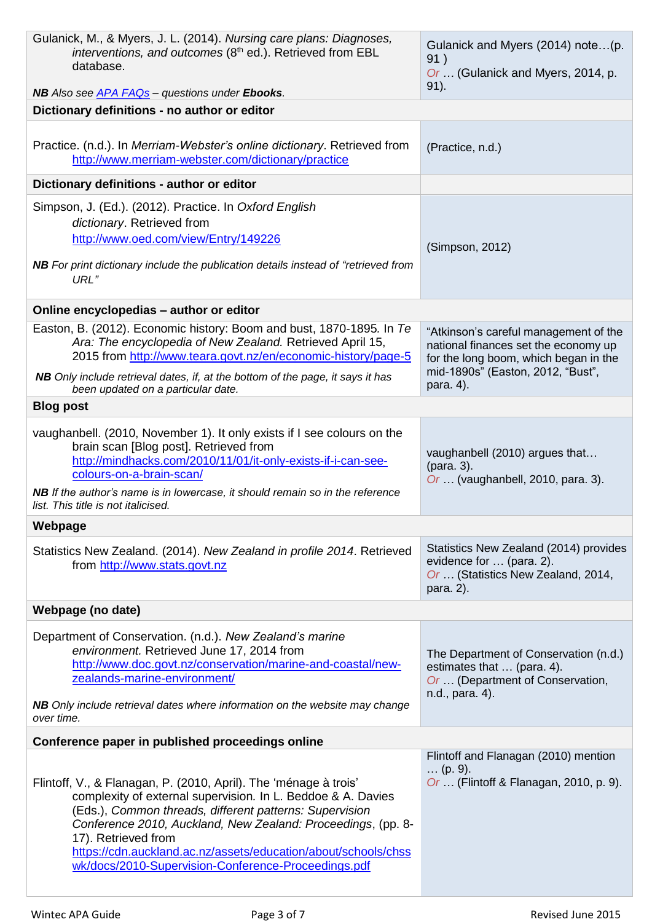<span id="page-2-4"></span><span id="page-2-3"></span><span id="page-2-2"></span><span id="page-2-1"></span><span id="page-2-0"></span>

| Gulanick, M., & Myers, J. L. (2014). Nursing care plans: Diagnoses,<br>interventions, and outcomes (8 <sup>th</sup> ed.). Retrieved from EBL<br>database.                                                                                                                                                                                                                                                   | Gulanick and Myers (2014) note(p.<br>91)<br>Or  (Gulanick and Myers, 2014, p.<br>$91$ ).                                                                                 |  |  |  |
|-------------------------------------------------------------------------------------------------------------------------------------------------------------------------------------------------------------------------------------------------------------------------------------------------------------------------------------------------------------------------------------------------------------|--------------------------------------------------------------------------------------------------------------------------------------------------------------------------|--|--|--|
| NB Also see APA FAQs - questions under Ebooks.<br>Dictionary definitions - no author or editor                                                                                                                                                                                                                                                                                                              |                                                                                                                                                                          |  |  |  |
|                                                                                                                                                                                                                                                                                                                                                                                                             |                                                                                                                                                                          |  |  |  |
| Practice. (n.d.). In Merriam-Webster's online dictionary. Retrieved from<br>http://www.merriam-webster.com/dictionary/practice                                                                                                                                                                                                                                                                              | (Practice, n.d.)                                                                                                                                                         |  |  |  |
| Dictionary definitions - author or editor                                                                                                                                                                                                                                                                                                                                                                   |                                                                                                                                                                          |  |  |  |
| Simpson, J. (Ed.). (2012). Practice. In Oxford English<br>dictionary. Retrieved from<br>http://www.oed.com/view/Entry/149226<br><b>NB</b> For print dictionary include the publication details instead of "retrieved from<br>URL"                                                                                                                                                                           | (Simpson, 2012)                                                                                                                                                          |  |  |  |
| Online encyclopedias - author or editor                                                                                                                                                                                                                                                                                                                                                                     |                                                                                                                                                                          |  |  |  |
| Easton, B. (2012). Economic history: Boom and bust, 1870-1895. In Te<br>Ara: The encyclopedia of New Zealand. Retrieved April 15,<br>2015 from http://www.teara.govt.nz/en/economic-history/page-5<br>NB Only include retrieval dates, if, at the bottom of the page, it says it has                                                                                                                        | "Atkinson's careful management of the<br>national finances set the economy up<br>for the long boom, which began in the<br>mid-1890s" (Easton, 2012, "Bust",<br>para. 4). |  |  |  |
| been updated on a particular date.<br><b>Blog post</b>                                                                                                                                                                                                                                                                                                                                                      |                                                                                                                                                                          |  |  |  |
|                                                                                                                                                                                                                                                                                                                                                                                                             |                                                                                                                                                                          |  |  |  |
| vaughanbell. (2010, November 1). It only exists if I see colours on the<br>brain scan [Blog post]. Retrieved from<br>http://mindhacks.com/2010/11/01/it-only-exists-if-i-can-see-<br>colours-on-a-brain-scan/<br><b>NB</b> If the author's name is in lowercase, it should remain so in the reference                                                                                                       | vaughanbell (2010) argues that<br>(para. 3).<br>Or  (vaughanbell, 2010, para. 3).                                                                                        |  |  |  |
| list. This title is not italicised.                                                                                                                                                                                                                                                                                                                                                                         |                                                                                                                                                                          |  |  |  |
| Webpage                                                                                                                                                                                                                                                                                                                                                                                                     |                                                                                                                                                                          |  |  |  |
| Statistics New Zealand. (2014). New Zealand in profile 2014. Retrieved<br>from http://www.stats.govt.nz                                                                                                                                                                                                                                                                                                     | Statistics New Zealand (2014) provides<br>evidence for  (para. 2).<br>Or  (Statistics New Zealand, 2014,<br>para. 2).                                                    |  |  |  |
| Webpage (no date)                                                                                                                                                                                                                                                                                                                                                                                           |                                                                                                                                                                          |  |  |  |
| Department of Conservation. (n.d.). New Zealand's marine<br>environment. Retrieved June 17, 2014 from<br>http://www.doc.govt.nz/conservation/marine-and-coastal/new-<br>zealands-marine-environment/<br><b>NB</b> Only include retrieval dates where information on the website may change<br>over time.                                                                                                    | The Department of Conservation (n.d.)<br>estimates that  (para. 4).<br>Or  (Department of Conservation,<br>n.d., para. 4).                                               |  |  |  |
| Conference paper in published proceedings online                                                                                                                                                                                                                                                                                                                                                            |                                                                                                                                                                          |  |  |  |
| Flintoff, V., & Flanagan, P. (2010, April). The 'ménage à trois'<br>complexity of external supervision. In L. Beddoe & A. Davies<br>(Eds.), Common threads, different patterns: Supervision<br>Conference 2010, Auckland, New Zealand: Proceedings, (pp. 8-<br>17). Retrieved from<br>https://cdn.auckland.ac.nz/assets/education/about/schools/chss<br>wk/docs/2010-Supervision-Conference-Proceedings.pdf | Flintoff and Flanagan (2010) mention<br>$\ldots$ (p. 9).<br>Or  (Flintoff & Flanagan, 2010, p. 9).                                                                       |  |  |  |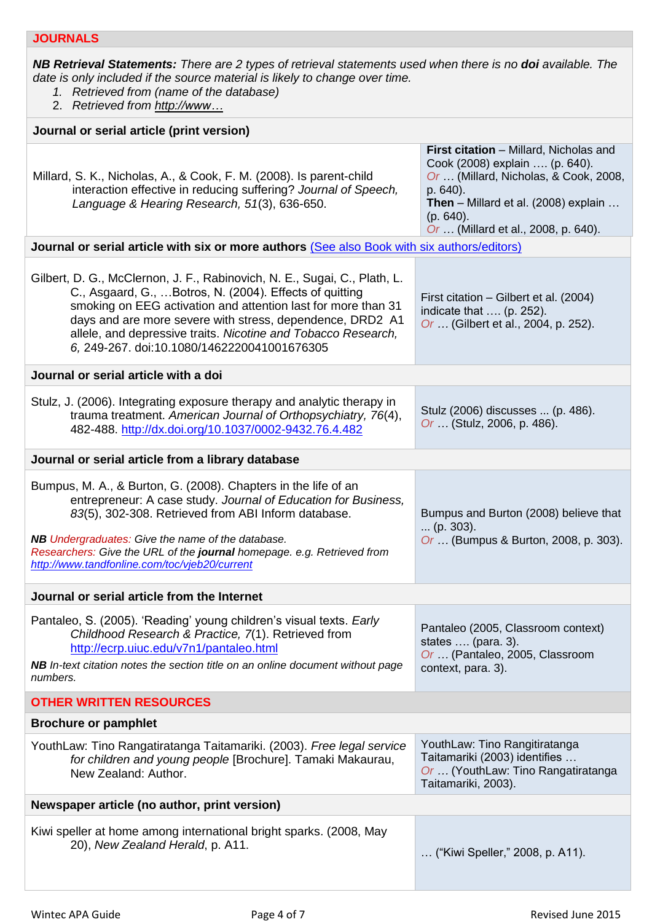<span id="page-3-0"></span>*NB Retrieval Statements: There are 2 types of retrieval statements used when there is no doi available. The date is only included if the source material is likely to change over time.*

- *1. Retrieved from (name of the database)*
- 2. *Retrieved from http://www…*

<span id="page-3-4"></span><span id="page-3-3"></span><span id="page-3-2"></span><span id="page-3-1"></span>

| Journal or serial article (print version)                                                                                                                                                                                                                                                                                                                                           |                                                                                                                                                                                                                                    |  |  |  |
|-------------------------------------------------------------------------------------------------------------------------------------------------------------------------------------------------------------------------------------------------------------------------------------------------------------------------------------------------------------------------------------|------------------------------------------------------------------------------------------------------------------------------------------------------------------------------------------------------------------------------------|--|--|--|
| Millard, S. K., Nicholas, A., & Cook, F. M. (2008). Is parent-child<br>interaction effective in reducing suffering? Journal of Speech,<br>Language & Hearing Research, 51(3), 636-650.                                                                                                                                                                                              | First citation - Millard, Nicholas and<br>Cook (2008) explain  (p. 640).<br>Or  (Millard, Nicholas, & Cook, 2008,<br>p. 640).<br><b>Then</b> – Millard et al. $(2008)$ explain<br>(p. 640).<br>Or  (Millard et al., 2008, p. 640). |  |  |  |
| Journal or serial article with six or more authors (See also Book with six authors/editors)                                                                                                                                                                                                                                                                                         |                                                                                                                                                                                                                                    |  |  |  |
| Gilbert, D. G., McClernon, J. F., Rabinovich, N. E., Sugai, C., Plath, L.<br>C., Asgaard, G.,  Botros, N. (2004). Effects of quitting<br>smoking on EEG activation and attention last for more than 31<br>days and are more severe with stress, dependence, DRD2 A1<br>allele, and depressive traits. Nicotine and Tobacco Research,<br>6, 249-267. doi:10.1080/1462220041001676305 | First citation – Gilbert et al. (2004)<br>indicate that  (p. 252).<br>Or  (Gilbert et al., 2004, p. 252).                                                                                                                          |  |  |  |
| Journal or serial article with a doi                                                                                                                                                                                                                                                                                                                                                |                                                                                                                                                                                                                                    |  |  |  |
| Stulz, J. (2006). Integrating exposure therapy and analytic therapy in<br>trauma treatment. American Journal of Orthopsychiatry, 76(4),<br>482-488. http://dx.doi.org/10.1037/0002-9432.76.4.482                                                                                                                                                                                    | Stulz (2006) discusses  (p. 486).<br>Or  (Stulz, 2006, p. 486).                                                                                                                                                                    |  |  |  |
| Journal or serial article from a library database                                                                                                                                                                                                                                                                                                                                   |                                                                                                                                                                                                                                    |  |  |  |
| Bumpus, M. A., & Burton, G. (2008). Chapters in the life of an<br>entrepreneur: A case study. Journal of Education for Business,<br>83(5), 302-308. Retrieved from ABI Inform database.<br><b>NB Undergraduates: Give the name of the database.</b><br>Researchers: Give the URL of the journal homepage. e.g. Retrieved from<br>http://www.tandfonline.com/toc/vjeb20/current      | Bumpus and Burton (2008) believe that<br>$\ldots$ (p. 303).<br>Or  (Bumpus & Burton, 2008, p. 303).                                                                                                                                |  |  |  |
| Journal or serial article from the Internet                                                                                                                                                                                                                                                                                                                                         |                                                                                                                                                                                                                                    |  |  |  |
| Pantaleo, S. (2005). 'Reading' young children's visual texts. Early<br>Childhood Research & Practice, 7(1). Retrieved from<br>http://ecrp.uiuc.edu/v7n1/pantaleo.html<br><b>NB</b> In-text citation notes the section title on an online document without page<br>numbers.                                                                                                          | Pantaleo (2005, Classroom context)<br>states $\dots$ (para. 3).<br>Or  (Pantaleo, 2005, Classroom<br>context, para. 3).                                                                                                            |  |  |  |
| <b>OTHER WRITTEN RESOURCES</b>                                                                                                                                                                                                                                                                                                                                                      |                                                                                                                                                                                                                                    |  |  |  |
| <b>Brochure or pamphlet</b>                                                                                                                                                                                                                                                                                                                                                         |                                                                                                                                                                                                                                    |  |  |  |
| YouthLaw: Tino Rangatiratanga Taitamariki. (2003). Free legal service<br>for children and young people [Brochure]. Tamaki Makaurau,<br>New Zealand: Author.                                                                                                                                                                                                                         | YouthLaw: Tino Rangitiratanga<br>Taitamariki (2003) identifies<br>Or  (YouthLaw: Tino Rangatiratanga<br>Taitamariki, 2003).                                                                                                        |  |  |  |
| Newspaper article (no author, print version)                                                                                                                                                                                                                                                                                                                                        |                                                                                                                                                                                                                                    |  |  |  |
| Kiwi speller at home among international bright sparks. (2008, May<br>20), New Zealand Herald, p. A11.                                                                                                                                                                                                                                                                              | ("Kiwi Speller," 2008, p. A11).                                                                                                                                                                                                    |  |  |  |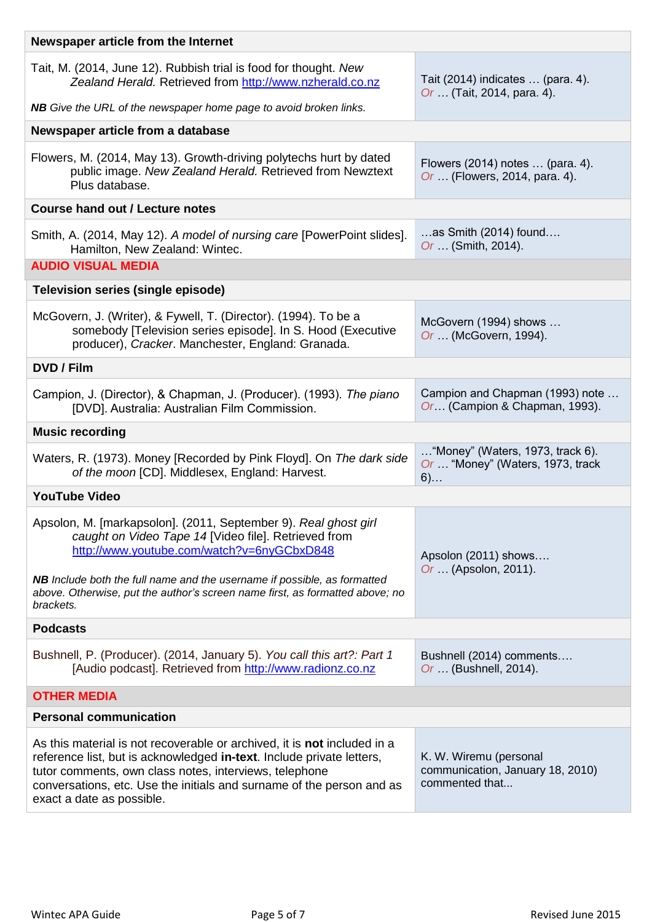<span id="page-4-8"></span><span id="page-4-7"></span><span id="page-4-6"></span><span id="page-4-5"></span><span id="page-4-4"></span><span id="page-4-3"></span><span id="page-4-2"></span><span id="page-4-1"></span><span id="page-4-0"></span>

| Newspaper article from the Internet                                                                                                                                                                                                                                                                                      |                                                                                 |  |  |  |
|--------------------------------------------------------------------------------------------------------------------------------------------------------------------------------------------------------------------------------------------------------------------------------------------------------------------------|---------------------------------------------------------------------------------|--|--|--|
| Tait, M. (2014, June 12). Rubbish trial is food for thought. New<br>Zealand Herald. Retrieved from http://www.nzherald.co.nz                                                                                                                                                                                             | Tait (2014) indicates  (para. 4).<br>Or  (Tait, 2014, para. 4).                 |  |  |  |
| NB Give the URL of the newspaper home page to avoid broken links.                                                                                                                                                                                                                                                        |                                                                                 |  |  |  |
| Newspaper article from a database                                                                                                                                                                                                                                                                                        |                                                                                 |  |  |  |
| Flowers, M. (2014, May 13). Growth-driving polytechs hurt by dated<br>public image. New Zealand Herald. Retrieved from Newztext<br>Plus database.                                                                                                                                                                        | Flowers (2014) notes  (para. 4).<br>Or  (Flowers, 2014, para. 4).               |  |  |  |
| <b>Course hand out / Lecture notes</b>                                                                                                                                                                                                                                                                                   |                                                                                 |  |  |  |
| Smith, A. (2014, May 12). A model of nursing care [PowerPoint slides].<br>Hamilton, New Zealand: Wintec.                                                                                                                                                                                                                 | $$ as Smith (2014) found<br>Or  (Smith, 2014).                                  |  |  |  |
| <b>AUDIO VISUAL MEDIA</b>                                                                                                                                                                                                                                                                                                |                                                                                 |  |  |  |
| Television series (single episode)                                                                                                                                                                                                                                                                                       |                                                                                 |  |  |  |
| McGovern, J. (Writer), & Fywell, T. (Director). (1994). To be a<br>somebody [Television series episode]. In S. Hood (Executive<br>producer), Cracker. Manchester, England: Granada.                                                                                                                                      | McGovern (1994) shows<br>Or  (McGovern, 1994).                                  |  |  |  |
| <b>DVD / Film</b>                                                                                                                                                                                                                                                                                                        |                                                                                 |  |  |  |
| Campion, J. (Director), & Chapman, J. (Producer). (1993). The piano<br>[DVD]. Australia: Australian Film Commission.                                                                                                                                                                                                     | Campion and Chapman (1993) note<br>Or (Campion & Chapman, 1993).                |  |  |  |
| <b>Music recording</b>                                                                                                                                                                                                                                                                                                   |                                                                                 |  |  |  |
| Waters, R. (1973). Money [Recorded by Pink Floyd]. On The dark side<br>of the moon [CD]. Middlesex, England: Harvest.                                                                                                                                                                                                    | "Money" (Waters, 1973, track $6$ ).<br>Or  "Money" (Waters, 1973, track<br>$6)$ |  |  |  |
| <b>YouTube Video</b>                                                                                                                                                                                                                                                                                                     |                                                                                 |  |  |  |
| Apsolon, M. [markapsolon]. (2011, September 9). Real ghost girl<br>caught on Video Tape 14 [Video file]. Retrieved from<br>http://www.youtube.com/watch?v=6nyGCbxD848                                                                                                                                                    | Apsolon (2011) shows<br>Or  (Apsolon, 2011).                                    |  |  |  |
| NB Include both the full name and the username if possible, as formatted<br>above. Otherwise, put the author's screen name first, as formatted above; no<br>brackets.                                                                                                                                                    |                                                                                 |  |  |  |
| <b>Podcasts</b>                                                                                                                                                                                                                                                                                                          |                                                                                 |  |  |  |
| Bushnell, P. (Producer). (2014, January 5). You call this art?: Part 1<br>[Audio podcast]. Retrieved from http://www.radionz.co.nz                                                                                                                                                                                       | Bushnell (2014) comments<br>Or  (Bushnell, 2014).                               |  |  |  |
| <b>OTHER MEDIA</b>                                                                                                                                                                                                                                                                                                       |                                                                                 |  |  |  |
| <b>Personal communication</b>                                                                                                                                                                                                                                                                                            |                                                                                 |  |  |  |
| As this material is not recoverable or archived, it is <b>not</b> included in a<br>reference list, but is acknowledged in-text. Include private letters,<br>tutor comments, own class notes, interviews, telephone<br>conversations, etc. Use the initials and surname of the person and as<br>exact a date as possible. | K. W. Wiremu (personal<br>communication, January 18, 2010)<br>commented that    |  |  |  |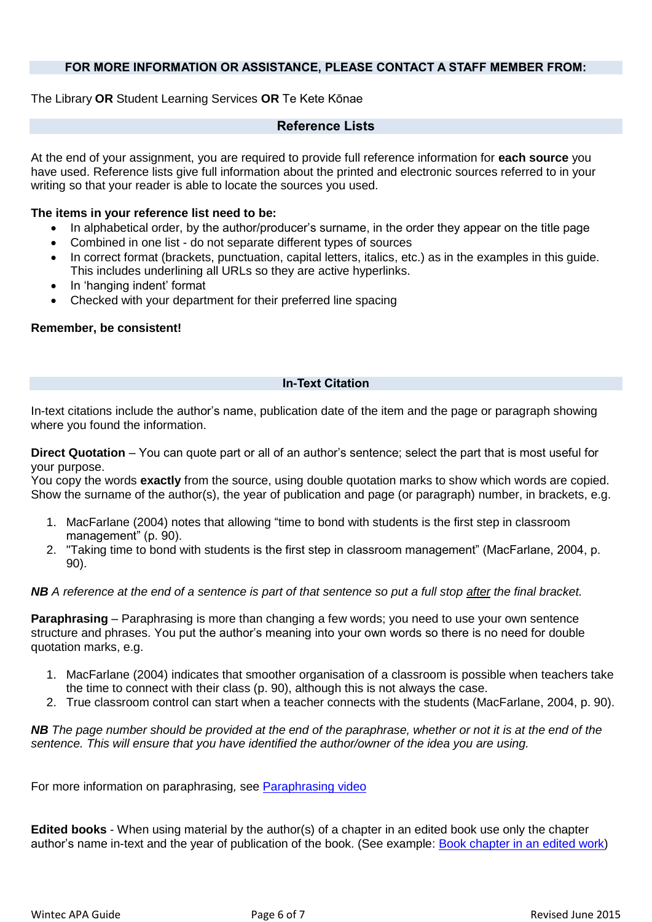## **FOR MORE INFORMATION OR ASSISTANCE, PLEASE CONTACT A STAFF MEMBER FROM:**

# <span id="page-5-0"></span>The Library **OR** Student Learning Services **OR** Te Kete Kōnae

# **Reference Lists**

At the end of your assignment, you are required to provide full reference information for **each source** you have used. Reference lists give full information about the printed and electronic sources referred to in your writing so that your reader is able to locate the sources you used.

### **The items in your reference list need to be:**

- In alphabetical order, by the author/producer's surname, in the order they appear on the title page
- Combined in one list do not separate different types of sources
- In correct format (brackets, punctuation, capital letters, italics, etc.) as in the examples in this quide. This includes underlining all URLs so they are active hyperlinks.
- In 'hanging indent' format
- Checked with your department for their preferred line spacing

#### **Remember, be consistent!**

#### **In-Text Citation**

<span id="page-5-1"></span>In-text citations include the author's name, publication date of the item and the page or paragraph showing where you found the information.

**Direct Quotation** – You can quote part or all of an author's sentence; select the part that is most useful for your purpose.

You copy the words **exactly** from the source, using double quotation marks to show which words are copied. Show the surname of the author(s), the year of publication and page (or paragraph) number, in brackets, e.g.

- 1. MacFarlane (2004) notes that allowing "time to bond with students is the first step in classroom management" (p. 90).
- 2. "Taking time to bond with students is the first step in classroom management" (MacFarlane, 2004, p. 90).

## *NB A reference at the end of a sentence is part of that sentence so put a full stop after the final bracket.*

**Paraphrasing** – Paraphrasing is more than changing a few words; you need to use your own sentence structure and phrases. You put the author's meaning into your own words so there is no need for double quotation marks, e.g.

- 1. MacFarlane (2004) indicates that smoother organisation of a classroom is possible when teachers take the time to connect with their class (p. 90), although this is not always the case.
- 2. True classroom control can start when a teacher connects with the students (MacFarlane, 2004, p. 90).

*NB The page number should be provided at the end of the paraphrase, whether or not it is at the end of the sentence. This will ensure that you have identified the author/owner of the idea you are using.*

For more information on paraphrasing*,* see [Paraphrasing video](https://learning.wintec.ac.nz/pluginfile.php/295583/mod_resource/content/2/story.html)

**Edited books** - When using material by the author(s) of a chapter in an edited book use only the chapter author's name in-text and the year of publication of the book. (See example: [Book chapter in an edited](#page-1-2) work)